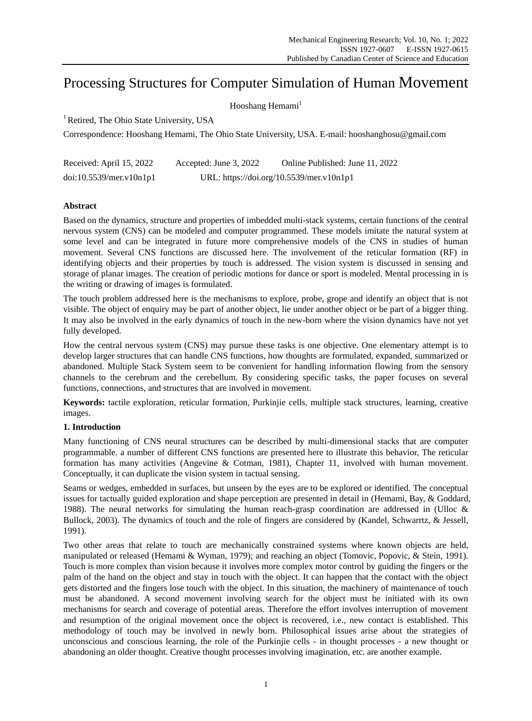# Processing Structures for Computer Simulation of Human Movement

Hooshang Hemami<sup>1</sup>

<sup>1</sup> Retired, The Ohio State University, USA

Correspondence: Hooshang Hemami, The Ohio State University, USA. E-mail: hooshanghosu@gmail.com

| Received: April 15, 2022 | Accepted: June 3, 2022                   | Online Published: June 11, 2022 |
|--------------------------|------------------------------------------|---------------------------------|
| doi:10.5539/mer.v10n1p1  | URL: https://doi.org/10.5539/mer.v10n1p1 |                                 |

# **Abstract**

Based on the dynamics, structure and properties of imbedded multi-stack systems, certain functions of the central nervous system (CNS) can be modeled and computer programmed. These models imitate the natural system at some level and can be integrated in future more comprehensive models of the CNS in studies of human movement. Several CNS functions are discussed here. The involvement of the reticular formation (RF) in identifying objects and their properties by touch is addressed. The vision system is discussed in sensing and storage of planar images. The creation of periodic motions for dance or sport is modeled. Mental processing in is the writing or drawing of images is formulated.

The touch problem addressed here is the mechanisms to explore, probe, grope and identify an object that is not visible. The object of enquiry may be part of another object, lie under another object or be part of a bigger thing. It may also be involved in the early dynamics of touch in the new-born where the vision dynamics have not yet fully developed.

How the central nervous system (CNS) may pursue these tasks is one objective. One elementary attempt is to develop larger structures that can handle CNS functions, how thoughts are formulated, expanded, summarized or abandoned. Multiple Stack System seem to be convenient for handling information flowing from the sensory channels to the cerebrum and the cerebellum. By considering specific tasks, the paper focuses on several functions, connections, and structures that are involved in movement.

**Keywords:** tactile exploration, reticular formation, Purkinjie cells, multiple stack structures, learning, creative images.

# **1. Introduction**

Many functioning of CNS neural structures can be described by multi-dimensional stacks that are computer programmable. a number of different CNS functions are presented here to illustrate this behavior, The reticular formation has many activities (Angevine & Cotman, 1981), Chapter 11, involved with human movement. Conceptually, it can duplicate the vision system in tactual sensing.

Seams or wedges, embedded in surfaces, but unseen by the eyes are to be explored or identified. The conceptual issues for tactually guided exploration and shape perception are presented in detail in (Hemami, Bay, & Goddard, 1988). The neural networks for simulating the human reach-grasp coordination are addressed in (Ulloc & Bullock, 2003). The dynamics of touch and the role of fingers are considered by (Kandel, Schwarrtz, & Jessell, 1991).

Two other areas that relate to touch are mechanically constrained systems where known objects are held, manipulated or released (Hemami & Wyman, 1979); and reaching an object (Tomovic, Popovic, & Stein, 1991). Touch is more complex than vision because it involves more complex motor control by guiding the fingers or the palm of the hand on the object and stay in touch with the object. It can happen that the contact with the object gets distorted and the fingers lose touch with the object. In this situation, the machinery of maintenance of touch must be abandoned. A second movement involving search for the object must be initiated with its own mechanisms for search and coverage of potential areas. Therefore the effort involves interruption of movement and resumption of the original movement once the object is recovered, i.e., new contact is established. This methodology of touch may be involved in newly born. Philosophical issues arise about the strategies of unconscious and conscious learning, the role of the Purkinjie cells - in thought processes - a new thought or abandoning an older thought. Creative thought processes involving imagination, etc. are another example.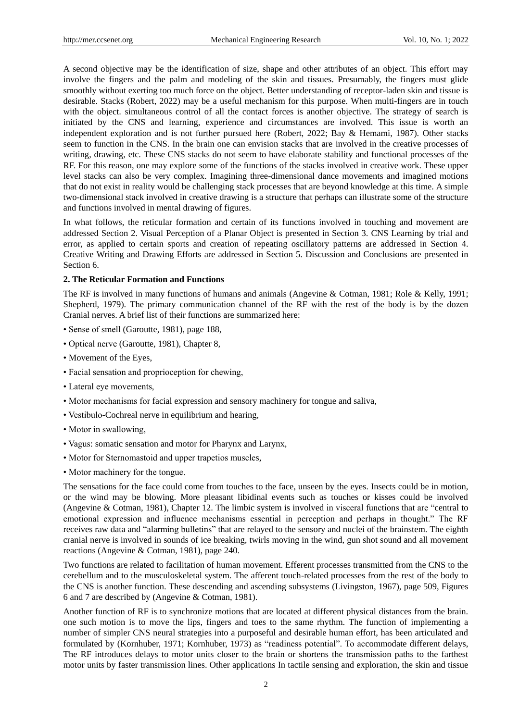A second objective may be the identification of size, shape and other attributes of an object. This effort may involve the fingers and the palm and modeling of the skin and tissues. Presumably, the fingers must glide smoothly without exerting too much force on the object. Better understanding of receptor-laden skin and tissue is desirable. Stacks (Robert, 2022) may be a useful mechanism for this purpose. When multi-fingers are in touch with the object. simultaneous control of all the contact forces is another objective. The strategy of search is initiated by the CNS and learning, experience and circumstances are involved. This issue is worth an independent exploration and is not further pursued here (Robert, 2022; Bay & Hemami, 1987). Other stacks seem to function in the CNS. In the brain one can envision stacks that are involved in the creative processes of writing, drawing, etc. These CNS stacks do not seem to have elaborate stability and functional processes of the RF. For this reason, one may explore some of the functions of the stacks involved in creative work. These upper level stacks can also be very complex. Imagining three-dimensional dance movements and imagined motions that do not exist in reality would be challenging stack processes that are beyond knowledge at this time. A simple two-dimensional stack involved in creative drawing is a structure that perhaps can illustrate some of the structure and functions involved in mental drawing of figures.

In what follows, the reticular formation and certain of its functions involved in touching and movement are addressed Section 2. Visual Perception of a Planar Object is presented in Section 3. CNS Learning by trial and error, as applied to certain sports and creation of repeating oscillatory patterns are addressed in Section 4. Creative Writing and Drawing Efforts are addressed in Section 5. Discussion and Conclusions are presented in Section 6.

#### **2. The Reticular Formation and Functions**

The RF is involved in many functions of humans and animals (Angevine & Cotman, 1981; Role & Kelly, 1991; Shepherd, 1979). The primary communication channel of the RF with the rest of the body is by the dozen Cranial nerves. A brief list of their functions are summarized here:

- Sense of smell (Garoutte, 1981), page 188,
- Optical nerve (Garoutte, 1981), Chapter 8,
- Movement of the Eyes,
- Facial sensation and proprioception for chewing,
- Lateral eye movements,
- Motor mechanisms for facial expression and sensory machinery for tongue and saliva,
- Vestibulo-Cochreal nerve in equilibrium and hearing,
- Motor in swallowing,
- Vagus: somatic sensation and motor for Pharynx and Larynx,
- Motor for Sternomastoid and upper trapetios muscles,
- Motor machinery for the tongue.

The sensations for the face could come from touches to the face, unseen by the eyes. Insects could be in motion, or the wind may be blowing. More pleasant libidinal events such as touches or kisses could be involved (Angevine & Cotman, 1981), Chapter 12. The limbic system is involved in visceral functions that are "central to emotional expression and influence mechanisms essential in perception and perhaps in thought." The RF receives raw data and "alarming bulletins" that are relayed to the sensory and nuclei of the brainstem. The eighth cranial nerve is involved in sounds of ice breaking, twirls moving in the wind, gun shot sound and all movement reactions (Angevine & Cotman, 1981), page 240.

Two functions are related to facilitation of human movement. Efferent processes transmitted from the CNS to the cerebellum and to the musculoskeletal system. The afferent touch-related processes from the rest of the body to the CNS is another function. These descending and ascending subsystems (Livingston, 1967), page 509, Figures 6 and 7 are described by (Angevine & Cotman, 1981).

Another function of RF is to synchronize motions that are located at different physical distances from the brain. one such motion is to move the lips, fingers and toes to the same rhythm. The function of implementing a number of simpler CNS neural strategies into a purposeful and desirable human effort, has been articulated and formulated by (Kornhuber, 1971; Kornhuber, 1973) as "readiness potential". To accommodate different delays, The RF introduces delays to motor units closer to the brain or shortens the transmission paths to the farthest motor units by faster transmission lines. Other applications In tactile sensing and exploration, the skin and tissue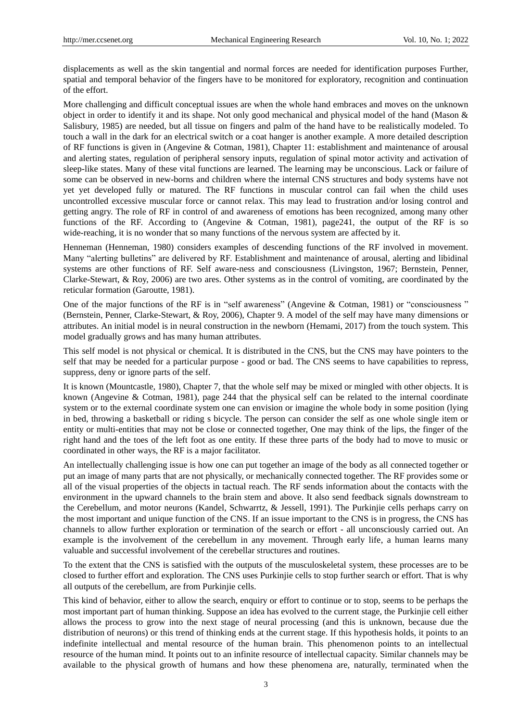displacements as well as the skin tangential and normal forces are needed for identification purposes Further, spatial and temporal behavior of the fingers have to be monitored for exploratory, recognition and continuation of the effort.

More challenging and difficult conceptual issues are when the whole hand embraces and moves on the unknown object in order to identify it and its shape. Not only good mechanical and physical model of the hand (Mason & Salisbury, 1985) are needed, but all tissue on fingers and palm of the hand have to be realistically modeled. To touch a wall in the dark for an electrical switch or a coat hanger is another example. A more detailed description of RF functions is given in (Angevine & Cotman, 1981), Chapter 11: establishment and maintenance of arousal and alerting states, regulation of peripheral sensory inputs, regulation of spinal motor activity and activation of sleep-like states. Many of these vital functions are learned. The learning may be unconscious. Lack or failure of some can be observed in new-borns and children where the internal CNS structures and body systems have not yet yet developed fully or matured. The RF functions in muscular control can fail when the child uses uncontrolled excessive muscular force or cannot relax. This may lead to frustration and/or losing control and getting angry. The role of RF in control of and awareness of emotions has been recognized, among many other functions of the RF. According to (Angevine & Cotman, 1981), page241, the output of the RF is so wide-reaching, it is no wonder that so many functions of the nervous system are affected by it.

Henneman (Henneman, 1980) considers examples of descending functions of the RF involved in movement. Many "alerting bulletins" are delivered by RF. Establishment and maintenance of arousal, alerting and libidinal systems are other functions of RF. Self aware-ness and consciousness (Livingston, 1967; Bernstein, Penner, Clarke-Stewart, & Roy, 2006) are two ares. Other systems as in the control of vomiting, are coordinated by the reticular formation (Garoutte, 1981).

One of the major functions of the RF is in "self awareness" (Angevine & Cotman, 1981) or "consciousness " (Bernstein, Penner, Clarke-Stewart, & Roy, 2006), Chapter 9. A model of the self may have many dimensions or attributes. An initial model is in neural construction in the newborn (Hemami, 2017) from the touch system. This model gradually grows and has many human attributes.

This self model is not physical or chemical. It is distributed in the CNS, but the CNS may have pointers to the self that may be needed for a particular purpose - good or bad. The CNS seems to have capabilities to repress, suppress, deny or ignore parts of the self.

It is known (Mountcastle, 1980), Chapter 7, that the whole self may be mixed or mingled with other objects. It is known (Angevine & Cotman, 1981), page 244 that the physical self can be related to the internal coordinate system or to the external coordinate system one can envision or imagine the whole body in some position (lying in bed, throwing a basketball or riding s bicycle. The person can consider the self as one whole single item or entity or multi-entities that may not be close or connected together, One may think of the lips, the finger of the right hand and the toes of the left foot as one entity. If these three parts of the body had to move to music or coordinated in other ways, the RF is a major facilitator.

An intellectually challenging issue is how one can put together an image of the body as all connected together or put an image of many parts that are not physically, or mechanically connected together. The RF provides some or all of the visual properties of the objects in tactual reach. The RF sends information about the contacts with the environment in the upward channels to the brain stem and above. It also send feedback signals downstream to the Cerebellum, and motor neurons (Kandel, Schwarrtz, & Jessell, 1991). The Purkinjie cells perhaps carry on the most important and unique function of the CNS. If an issue important to the CNS is in progress, the CNS has channels to allow further exploration or termination of the search or effort - all unconsciously carried out. An example is the involvement of the cerebellum in any movement. Through early life, a human learns many valuable and successful involvement of the cerebellar structures and routines.

To the extent that the CNS is satisfied with the outputs of the musculoskeletal system, these processes are to be closed to further effort and exploration. The CNS uses Purkinjie cells to stop further search or effort. That is why all outputs of the cerebellum, are from Purkinjie cells.

This kind of behavior, either to allow the search, enquiry or effort to continue or to stop, seems to be perhaps the most important part of human thinking. Suppose an idea has evolved to the current stage, the Purkinjie cell either allows the process to grow into the next stage of neural processing (and this is unknown, because due the distribution of neurons) or this trend of thinking ends at the current stage. If this hypothesis holds, it points to an indefinite intellectual and mental resource of the human brain. This phenomenon points to an intellectual resource of the human mind. It points out to an infinite resource of intellectual capacity. Similar channels may be available to the physical growth of humans and how these phenomena are, naturally, terminated when the

3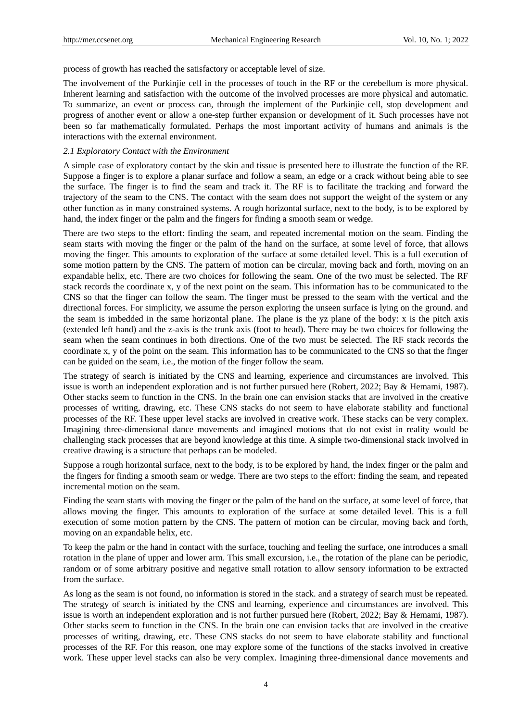process of growth has reached the satisfactory or acceptable level of size.

The involvement of the Purkinjie cell in the processes of touch in the RF or the cerebellum is more physical. Inherent learning and satisfaction with the outcome of the involved processes are more physical and automatic. To summarize, an event or process can, through the implement of the Purkinjie cell, stop development and progress of another event or allow a one-step further expansion or development of it. Such processes have not been so far mathematically formulated. Perhaps the most important activity of humans and animals is the interactions with the external environment.

## *2.1 Exploratory Contact with the Environment*

A simple case of exploratory contact by the skin and tissue is presented here to illustrate the function of the RF. Suppose a finger is to explore a planar surface and follow a seam, an edge or a crack without being able to see the surface. The finger is to find the seam and track it. The RF is to facilitate the tracking and forward the trajectory of the seam to the CNS. The contact with the seam does not support the weight of the system or any other function as in many constrained systems. A rough horizontal surface, next to the body, is to be explored by hand, the index finger or the palm and the fingers for finding a smooth seam or wedge.

There are two steps to the effort: finding the seam, and repeated incremental motion on the seam. Finding the seam starts with moving the finger or the palm of the hand on the surface, at some level of force, that allows moving the finger. This amounts to exploration of the surface at some detailed level. This is a full execution of some motion pattern by the CNS. The pattern of motion can be circular, moving back and forth, moving on an expandable helix, etc. There are two choices for following the seam. One of the two must be selected. The RF stack records the coordinate x, y of the next point on the seam. This information has to be communicated to the CNS so that the finger can follow the seam. The finger must be pressed to the seam with the vertical and the directional forces. For simplicity, we assume the person exploring the unseen surface is lying on the ground. and the seam is imbedded in the same horizontal plane. The plane is the yz plane of the body: x is the pitch axis (extended left hand) and the z-axis is the trunk axis (foot to head). There may be two choices for following the seam when the seam continues in both directions. One of the two must be selected. The RF stack records the coordinate x, y of the point on the seam. This information has to be communicated to the CNS so that the finger can be guided on the seam, i.e., the motion of the finger follow the seam.

The strategy of search is initiated by the CNS and learning, experience and circumstances are involved. This issue is worth an independent exploration and is not further pursued here (Robert, 2022; Bay & Hemami, 1987). Other stacks seem to function in the CNS. In the brain one can envision stacks that are involved in the creative processes of writing, drawing, etc. These CNS stacks do not seem to have elaborate stability and functional processes of the RF. These upper level stacks are involved in creative work. These stacks can be very complex. Imagining three-dimensional dance movements and imagined motions that do not exist in reality would be challenging stack processes that are beyond knowledge at this time. A simple two-dimensional stack involved in creative drawing is a structure that perhaps can be modeled.

Suppose a rough horizontal surface, next to the body, is to be explored by hand, the index finger or the palm and the fingers for finding a smooth seam or wedge. There are two steps to the effort: finding the seam, and repeated incremental motion on the seam.

Finding the seam starts with moving the finger or the palm of the hand on the surface, at some level of force, that allows moving the finger. This amounts to exploration of the surface at some detailed level. This is a full execution of some motion pattern by the CNS. The pattern of motion can be circular, moving back and forth, moving on an expandable helix, etc.

To keep the palm or the hand in contact with the surface, touching and feeling the surface, one introduces a small rotation in the plane of upper and lower arm. This small excursion, i.e., the rotation of the plane can be periodic, random or of some arbitrary positive and negative small rotation to allow sensory information to be extracted from the surface.

As long as the seam is not found, no information is stored in the stack. and a strategy of search must be repeated. The strategy of search is initiated by the CNS and learning, experience and circumstances are involved. This issue is worth an independent exploration and is not further pursued here (Robert, 2022; Bay & Hemami, 1987). Other stacks seem to function in the CNS. In the brain one can envision tacks that are involved in the creative processes of writing, drawing, etc. These CNS stacks do not seem to have elaborate stability and functional processes of the RF. For this reason, one may explore some of the functions of the stacks involved in creative work. These upper level stacks can also be very complex. Imagining three-dimensional dance movements and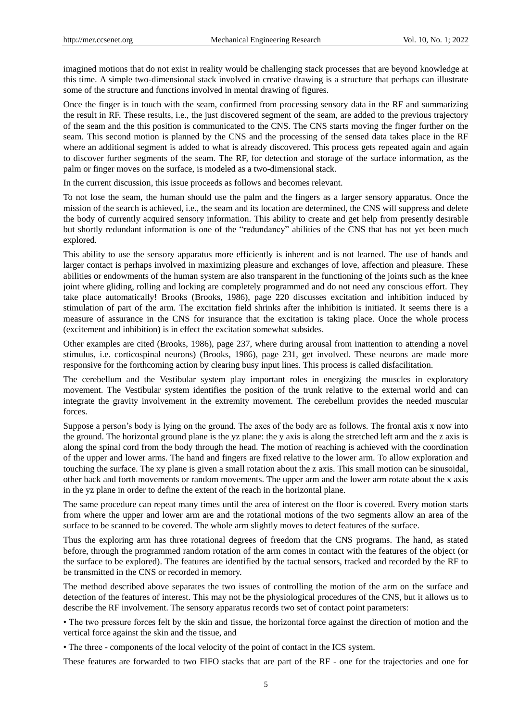imagined motions that do not exist in reality would be challenging stack processes that are beyond knowledge at this time. A simple two-dimensional stack involved in creative drawing is a structure that perhaps can illustrate some of the structure and functions involved in mental drawing of figures.

Once the finger is in touch with the seam, confirmed from processing sensory data in the RF and summarizing the result in RF. These results, i.e., the just discovered segment of the seam, are added to the previous trajectory of the seam and the this position is communicated to the CNS. The CNS starts moving the finger further on the seam. This second motion is planned by the CNS and the processing of the sensed data takes place in the RF where an additional segment is added to what is already discovered. This process gets repeated again and again to discover further segments of the seam. The RF, for detection and storage of the surface information, as the palm or finger moves on the surface, is modeled as a two-dimensional stack.

In the current discussion, this issue proceeds as follows and becomes relevant.

To not lose the seam, the human should use the palm and the fingers as a larger sensory apparatus. Once the mission of the search is achieved, i.e., the seam and its location are determined, the CNS will suppress and delete the body of currently acquired sensory information. This ability to create and get help from presently desirable but shortly redundant information is one of the "redundancy" abilities of the CNS that has not yet been much explored.

This ability to use the sensory apparatus more efficiently is inherent and is not learned. The use of hands and larger contact is perhaps involved in maximizing pleasure and exchanges of love, affection and pleasure. These abilities or endowments of the human system are also transparent in the functioning of the joints such as the knee joint where gliding, rolling and locking are completely programmed and do not need any conscious effort. They take place automatically! Brooks (Brooks, 1986), page 220 discusses excitation and inhibition induced by stimulation of part of the arm. The excitation field shrinks after the inhibition is initiated. It seems there is a measure of assurance in the CNS for insurance that the excitation is taking place. Once the whole process (excitement and inhibition) is in effect the excitation somewhat subsides.

Other examples are cited (Brooks, 1986), page 237, where during arousal from inattention to attending a novel stimulus, i.e. corticospinal neurons) (Brooks, 1986), page 231, get involved. These neurons are made more responsive for the forthcoming action by clearing busy input lines. This process is called disfacilitation.

The cerebellum and the Vestibular system play important roles in energizing the muscles in exploratory movement. The Vestibular system identifies the position of the trunk relative to the external world and can integrate the gravity involvement in the extremity movement. The cerebellum provides the needed muscular forces.

Suppose a person"s body is lying on the ground. The axes of the body are as follows. The frontal axis x now into the ground. The horizontal ground plane is the yz plane: the y axis is along the stretched left arm and the z axis is along the spinal cord from the body through the head. The motion of reaching is achieved with the coordination of the upper and lower arms. The hand and fingers are fixed relative to the lower arm. To allow exploration and touching the surface. The xy plane is given a small rotation about the z axis. This small motion can be sinusoidal, other back and forth movements or random movements. The upper arm and the lower arm rotate about the x axis in the yz plane in order to define the extent of the reach in the horizontal plane.

The same procedure can repeat many times until the area of interest on the floor is covered. Every motion starts from where the upper and lower arm are and the rotational motions of the two segments allow an area of the surface to be scanned to be covered. The whole arm slightly moves to detect features of the surface.

Thus the exploring arm has three rotational degrees of freedom that the CNS programs. The hand, as stated before, through the programmed random rotation of the arm comes in contact with the features of the object (or the surface to be explored). The features are identified by the tactual sensors, tracked and recorded by the RF to be transmitted in the CNS or recorded in memory.

The method described above separates the two issues of controlling the motion of the arm on the surface and detection of the features of interest. This may not be the physiological procedures of the CNS, but it allows us to describe the RF involvement. The sensory apparatus records two set of contact point parameters:

• The two pressure forces felt by the skin and tissue, the horizontal force against the direction of motion and the vertical force against the skin and the tissue, and

• The three - components of the local velocity of the point of contact in the ICS system.

These features are forwarded to two FIFO stacks that are part of the RF - one for the trajectories and one for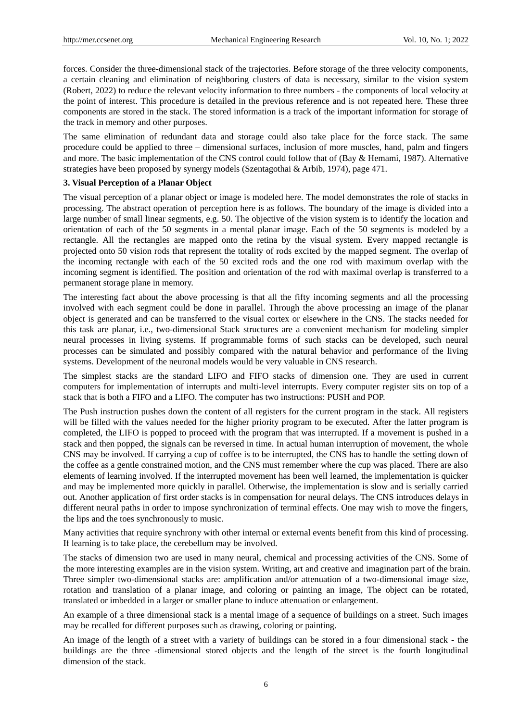forces. Consider the three-dimensional stack of the trajectories. Before storage of the three velocity components, a certain cleaning and elimination of neighboring clusters of data is necessary, similar to the vision system (Robert, 2022) to reduce the relevant velocity information to three numbers - the components of local velocity at the point of interest. This procedure is detailed in the previous reference and is not repeated here. These three components are stored in the stack. The stored information is a track of the important information for storage of the track in memory and other purposes.

The same elimination of redundant data and storage could also take place for the force stack. The same procedure could be applied to three – dimensional surfaces, inclusion of more muscles, hand, palm and fingers and more. The basic implementation of the CNS control could follow that of (Bay & Hemami, 1987). Alternative strategies have been proposed by synergy models (Szentagothai & Arbib, 1974), page 471.

# **3. Visual Perception of a Planar Object**

The visual perception of a planar object or image is modeled here. The model demonstrates the role of stacks in processing. The abstract operation of perception here is as follows. The boundary of the image is divided into a large number of small linear segments, e.g. 50. The objective of the vision system is to identify the location and orientation of each of the 50 segments in a mental planar image. Each of the 50 segments is modeled by a rectangle. All the rectangles are mapped onto the retina by the visual system. Every mapped rectangle is projected onto 50 vision rods that represent the totality of rods excited by the mapped segment. The overlap of the incoming rectangle with each of the 50 excited rods and the one rod with maximum overlap with the incoming segment is identified. The position and orientation of the rod with maximal overlap is transferred to a permanent storage plane in memory.

The interesting fact about the above processing is that all the fifty incoming segments and all the processing involved with each segment could be done in parallel. Through the above processing an image of the planar object is generated and can be transferred to the visual cortex or elsewhere in the CNS. The stacks needed for this task are planar, i.e., two-dimensional Stack structures are a convenient mechanism for modeling simpler neural processes in living systems. If programmable forms of such stacks can be developed, such neural processes can be simulated and possibly compared with the natural behavior and performance of the living systems. Development of the neuronal models would be very valuable in CNS research.

The simplest stacks are the standard LIFO and FIFO stacks of dimension one. They are used in current computers for implementation of interrupts and multi-level interrupts. Every computer register sits on top of a stack that is both a FIFO and a LIFO. The computer has two instructions: PUSH and POP.

The Push instruction pushes down the content of all registers for the current program in the stack. All registers will be filled with the values needed for the higher priority program to be executed. After the latter program is completed, the LIFO is popped to proceed with the program that was interrupted. If a movement is pushed in a stack and then popped, the signals can be reversed in time. In actual human interruption of movement, the whole CNS may be involved. If carrying a cup of coffee is to be interrupted, the CNS has to handle the setting down of the coffee as a gentle constrained motion, and the CNS must remember where the cup was placed. There are also elements of learning involved. If the interrupted movement has been well learned, the implementation is quicker and may be implemented more quickly in parallel. Otherwise, the implementation is slow and is serially carried out. Another application of first order stacks is in compensation for neural delays. The CNS introduces delays in different neural paths in order to impose synchronization of terminal effects. One may wish to move the fingers, the lips and the toes synchronously to music.

Many activities that require synchrony with other internal or external events benefit from this kind of processing. If learning is to take place, the cerebellum may be involved.

The stacks of dimension two are used in many neural, chemical and processing activities of the CNS. Some of the more interesting examples are in the vision system. Writing, art and creative and imagination part of the brain. Three simpler two-dimensional stacks are: amplification and/or attenuation of a two-dimensional image size, rotation and translation of a planar image, and coloring or painting an image, The object can be rotated, translated or imbedded in a larger or smaller plane to induce attenuation or enlargement.

An example of a three dimensional stack is a mental image of a sequence of buildings on a street. Such images may be recalled for different purposes such as drawing, coloring or painting.

An image of the length of a street with a variety of buildings can be stored in a four dimensional stack - the buildings are the three -dimensional stored objects and the length of the street is the fourth longitudinal dimension of the stack.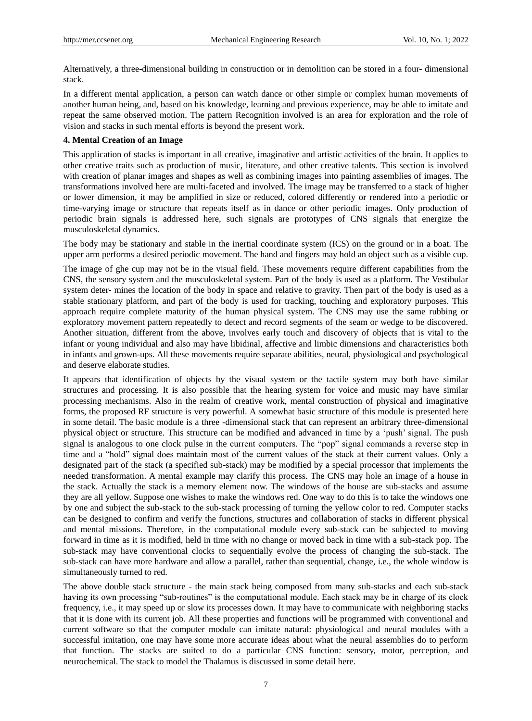Alternatively, a three-dimensional building in construction or in demolition can be stored in a four- dimensional stack.

In a different mental application, a person can watch dance or other simple or complex human movements of another human being, and, based on his knowledge, learning and previous experience, may be able to imitate and repeat the same observed motion. The pattern Recognition involved is an area for exploration and the role of vision and stacks in such mental efforts is beyond the present work.

# **4. Mental Creation of an Image**

This application of stacks is important in all creative, imaginative and artistic activities of the brain. It applies to other creative traits such as production of music, literature, and other creative talents. This section is involved with creation of planar images and shapes as well as combining images into painting assemblies of images. The transformations involved here are multi-faceted and involved. The image may be transferred to a stack of higher or lower dimension, it may be amplified in size or reduced, colored differently or rendered into a periodic or time-varying image or structure that repeats itself as in dance or other periodic images. Only production of periodic brain signals is addressed here, such signals are prototypes of CNS signals that energize the musculoskeletal dynamics.

The body may be stationary and stable in the inertial coordinate system (ICS) on the ground or in a boat. The upper arm performs a desired periodic movement. The hand and fingers may hold an object such as a visible cup.

The image of ghe cup may not be in the visual field. These movements require different capabilities from the CNS, the sensory system and the musculoskeletal system. Part of the body is used as a platform. The Vestibular system deter- mines the location of the body in space and relative to gravity. Then part of the body is used as a stable stationary platform, and part of the body is used for tracking, touching and exploratory purposes. This approach require complete maturity of the human physical system. The CNS may use the same rubbing or exploratory movement pattern repeatedly to detect and record segments of the seam or wedge to be discovered. Another situation, different from the above, involves early touch and discovery of objects that is vital to the infant or young individual and also may have libidinal, affective and limbic dimensions and characteristics both in infants and grown-ups. All these movements require separate abilities, neural, physiological and psychological and deserve elaborate studies.

It appears that identification of objects by the visual system or the tactile system may both have similar structures and processing. It is also possible that the hearing system for voice and music may have similar processing mechanisms. Also in the realm of creative work, mental construction of physical and imaginative forms, the proposed RF structure is very powerful. A somewhat basic structure of this module is presented here in some detail. The basic module is a three -dimensional stack that can represent an arbitrary three-dimensional physical object or structure. This structure can be modified and advanced in time by a "push" signal. The push signal is analogous to one clock pulse in the current computers. The "pop" signal commands a reverse step in time and a "hold" signal does maintain most of the current values of the stack at their current values. Only a designated part of the stack (a specified sub-stack) may be modified by a special processor that implements the needed transformation. A mental example may clarify this process. The CNS may hole an image of a house in the stack. Actually the stack is a memory element now. The windows of the house are sub-stacks and assume they are all yellow. Suppose one wishes to make the windows red. One way to do this is to take the windows one by one and subject the sub-stack to the sub-stack processing of turning the yellow color to red. Computer stacks can be designed to confirm and verify the functions, structures and collaboration of stacks in different physical and mental missions. Therefore, in the computational module every sub-stack can be subjected to moving forward in time as it is modified, held in time with no change or moved back in time with a sub-stack pop. The sub-stack may have conventional clocks to sequentially evolve the process of changing the sub-stack. The sub-stack can have more hardware and allow a parallel, rather than sequential, change, i.e., the whole window is simultaneously turned to red.

The above double stack structure - the main stack being composed from many sub-stacks and each sub-stack having its own processing "sub-routines" is the computational module. Each stack may be in charge of its clock frequency, i.e., it may speed up or slow its processes down. It may have to communicate with neighboring stacks that it is done with its current job. All these properties and functions will be programmed with conventional and current software so that the computer module can imitate natural: physiological and neural modules with a successful imitation, one may have some more accurate ideas about what the neural assemblies do to perform that function. The stacks are suited to do a particular CNS function: sensory, motor, perception, and neurochemical. The stack to model the Thalamus is discussed in some detail here.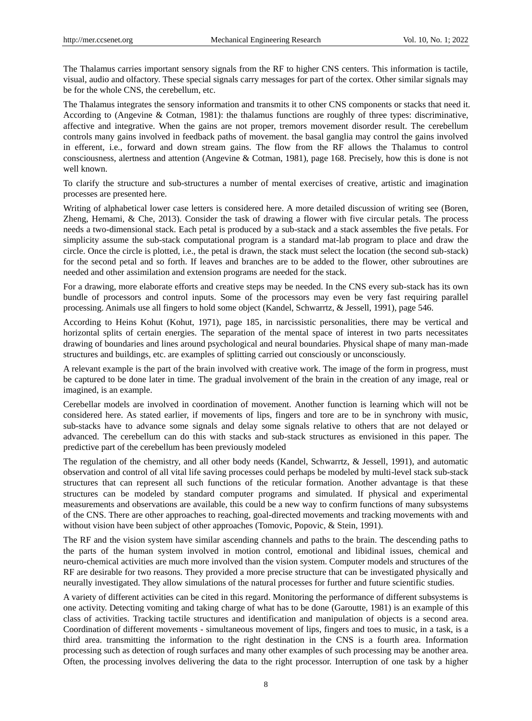The Thalamus carries important sensory signals from the RF to higher CNS centers. This information is tactile, visual, audio and olfactory. These special signals carry messages for part of the cortex. Other similar signals may be for the whole CNS, the cerebellum, etc.

The Thalamus integrates the sensory information and transmits it to other CNS components or stacks that need it. According to (Angevine & Cotman, 1981): the thalamus functions are roughly of three types: discriminative, affective and integrative. When the gains are not proper, tremors movement disorder result. The cerebellum controls many gains involved in feedback paths of movement. the basal ganglia may control the gains involved in efferent, i.e., forward and down stream gains. The flow from the RF allows the Thalamus to control consciousness, alertness and attention (Angevine & Cotman, 1981), page 168. Precisely, how this is done is not well known.

To clarify the structure and sub-structures a number of mental exercises of creative, artistic and imagination processes are presented here.

Writing of alphabetical lower case letters is considered here. A more detailed discussion of writing see (Boren, Zheng, Hemami, & Che, 2013). Consider the task of drawing a flower with five circular petals. The process needs a two-dimensional stack. Each petal is produced by a sub-stack and a stack assembles the five petals. For simplicity assume the sub-stack computational program is a standard mat-lab program to place and draw the circle. Once the circle is plotted, i.e., the petal is drawn, the stack must select the location (the second sub-stack) for the second petal and so forth. If leaves and branches are to be added to the flower, other subroutines are needed and other assimilation and extension programs are needed for the stack.

For a drawing, more elaborate efforts and creative steps may be needed. In the CNS every sub-stack has its own bundle of processors and control inputs. Some of the processors may even be very fast requiring parallel processing. Animals use all fingers to hold some object (Kandel, Schwarrtz, & Jessell, 1991), page 546.

According to Heins Kohut (Kohut, 1971), page 185, in narcissistic personalities, there may be vertical and horizontal splits of certain energies. The separation of the mental space of interest in two parts necessitates drawing of boundaries and lines around psychological and neural boundaries. Physical shape of many man-made structures and buildings, etc. are examples of splitting carried out consciously or unconsciously.

A relevant example is the part of the brain involved with creative work. The image of the form in progress, must be captured to be done later in time. The gradual involvement of the brain in the creation of any image, real or imagined, is an example.

Cerebellar models are involved in coordination of movement. Another function is learning which will not be considered here. As stated earlier, if movements of lips, fingers and tore are to be in synchrony with music, sub-stacks have to advance some signals and delay some signals relative to others that are not delayed or advanced. The cerebellum can do this with stacks and sub-stack structures as envisioned in this paper. The predictive part of the cerebellum has been previously modeled

The regulation of the chemistry, and all other body needs (Kandel, Schwarrtz, & Jessell, 1991), and automatic observation and control of all vital life saving processes could perhaps be modeled by multi-level stack sub-stack structures that can represent all such functions of the reticular formation. Another advantage is that these structures can be modeled by standard computer programs and simulated. If physical and experimental measurements and observations are available, this could be a new way to confirm functions of many subsystems of the CNS. There are other approaches to reaching, goal-directed movements and tracking movements with and without vision have been subject of other approaches (Tomovic, Popovic, & Stein, 1991).

The RF and the vision system have similar ascending channels and paths to the brain. The descending paths to the parts of the human system involved in motion control, emotional and libidinal issues, chemical and neuro-chemical activities are much more involved than the vision system. Computer models and structures of the RF are desirable for two reasons. They provided a more precise structure that can be investigated physically and neurally investigated. They allow simulations of the natural processes for further and future scientific studies.

A variety of different activities can be cited in this regard. Monitoring the performance of different subsystems is one activity. Detecting vomiting and taking charge of what has to be done (Garoutte, 1981) is an example of this class of activities. Tracking tactile structures and identification and manipulation of objects is a second area. Coordination of different movements - simultaneous movement of lips, fingers and toes to music, in a task, is a third area. transmitting the information to the right destination in the CNS is a fourth area. Information processing such as detection of rough surfaces and many other examples of such processing may be another area. Often, the processing involves delivering the data to the right processor. Interruption of one task by a higher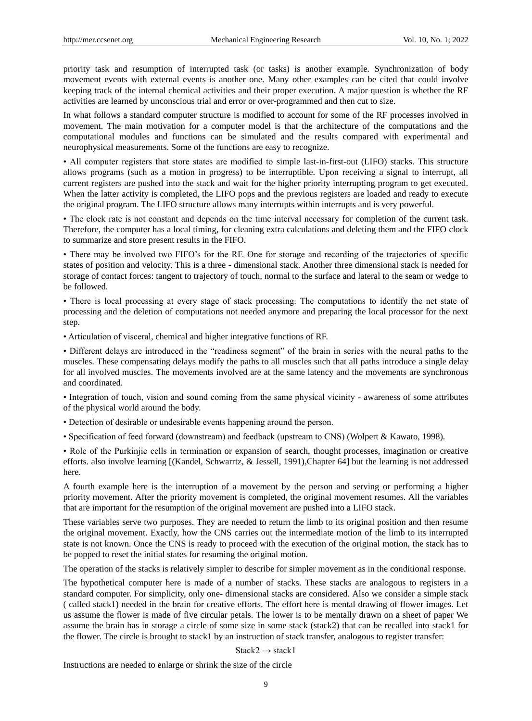priority task and resumption of interrupted task (or tasks) is another example. Synchronization of body movement events with external events is another one. Many other examples can be cited that could involve keeping track of the internal chemical activities and their proper execution. A major question is whether the RF activities are learned by unconscious trial and error or over-programmed and then cut to size.

In what follows a standard computer structure is modified to account for some of the RF processes involved in movement. The main motivation for a computer model is that the architecture of the computations and the computational modules and functions can be simulated and the results compared with experimental and neurophysical measurements. Some of the functions are easy to recognize.

• All computer registers that store states are modified to simple last-in-first-out (LIFO) stacks. This structure allows programs (such as a motion in progress) to be interruptible. Upon receiving a signal to interrupt, all current registers are pushed into the stack and wait for the higher priority interrupting program to get executed. When the latter activity is completed, the LIFO pops and the previous registers are loaded and ready to execute the original program. The LIFO structure allows many interrupts within interrupts and is very powerful.

• The clock rate is not constant and depends on the time interval necessary for completion of the current task. Therefore, the computer has a local timing, for cleaning extra calculations and deleting them and the FIFO clock to summarize and store present results in the FIFO.

• There may be involved two FIFO"s for the RF. One for storage and recording of the trajectories of specific states of position and velocity. This is a three - dimensional stack. Another three dimensional stack is needed for storage of contact forces: tangent to trajectory of touch, normal to the surface and lateral to the seam or wedge to be followed.

• There is local processing at every stage of stack processing. The computations to identify the net state of processing and the deletion of computations not needed anymore and preparing the local processor for the next step.

• Articulation of visceral, chemical and higher integrative functions of RF.

• Different delays are introduced in the "readiness segment" of the brain in series with the neural paths to the muscles. These compensating delays modify the paths to all muscles such that all paths introduce a single delay for all involved muscles. The movements involved are at the same latency and the movements are synchronous and coordinated.

• Integration of touch, vision and sound coming from the same physical vicinity - awareness of some attributes of the physical world around the body.

- Detection of desirable or undesirable events happening around the person.
- Specification of feed forward (downstream) and feedback (upstream to CNS) (Wolpert & Kawato, 1998).

• Role of the Purkinjie cells in termination or expansion of search, thought processes, imagination or creative efforts. also involve learning [(Kandel, Schwarrtz, & Jessell, 1991),Chapter 64] but the learning is not addressed here.

A fourth example here is the interruption of a movement by the person and serving or performing a higher priority movement. After the priority movement is completed, the original movement resumes. All the variables that are important for the resumption of the original movement are pushed into a LIFO stack.

These variables serve two purposes. They are needed to return the limb to its original position and then resume the original movement. Exactly, how the CNS carries out the intermediate motion of the limb to its interrupted state is not known. Once the CNS is ready to proceed with the execution of the original motion, the stack has to be popped to reset the initial states for resuming the original motion.

The operation of the stacks is relatively simpler to describe for simpler movement as in the conditional response.

The hypothetical computer here is made of a number of stacks. These stacks are analogous to registers in a standard computer. For simplicity, only one- dimensional stacks are considered. Also we consider a simple stack ( called stack1) needed in the brain for creative efforts. The effort here is mental drawing of flower images. Let us assume the flower is made of five circular petals. The lower is to be mentally drawn on a sheet of paper We assume the brain has in storage a circle of some size in some stack (stack2) that can be recalled into stack1 for the flower. The circle is brought to stack1 by an instruction of stack transfer, analogous to register transfer:

#### Stack2  $\rightarrow$  stack1

Instructions are needed to enlarge or shrink the size of the circle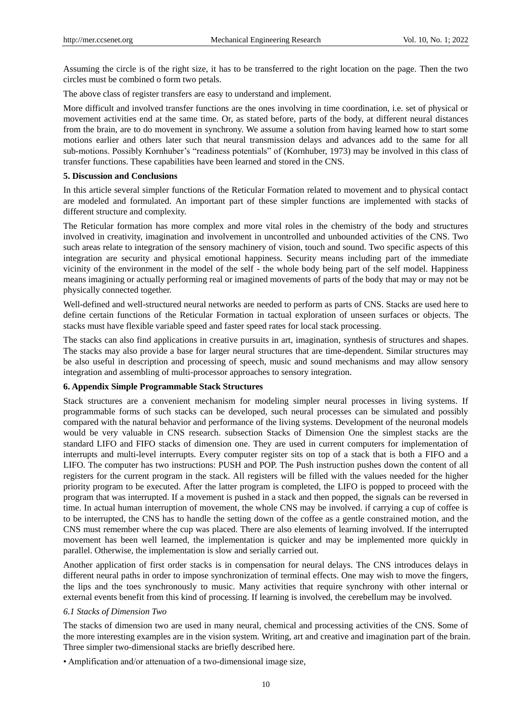Assuming the circle is of the right size, it has to be transferred to the right location on the page. Then the two circles must be combined o form two petals.

The above class of register transfers are easy to understand and implement.

More difficult and involved transfer functions are the ones involving in time coordination, i.e. set of physical or movement activities end at the same time. Or, as stated before, parts of the body, at different neural distances from the brain, are to do movement in synchrony. We assume a solution from having learned how to start some motions earlier and others later such that neural transmission delays and advances add to the same for all sub-motions. Possibly Kornhuber"s "readiness potentials" of (Kornhuber, 1973) may be involved in this class of transfer functions. These capabilities have been learned and stored in the CNS.

### **5. Discussion and Conclusions**

In this article several simpler functions of the Reticular Formation related to movement and to physical contact are modeled and formulated. An important part of these simpler functions are implemented with stacks of different structure and complexity.

The Reticular formation has more complex and more vital roles in the chemistry of the body and structures involved in creativity, imagination and involvement in uncontrolled and unbounded activities of the CNS. Two such areas relate to integration of the sensory machinery of vision, touch and sound. Two specific aspects of this integration are security and physical emotional happiness. Security means including part of the immediate vicinity of the environment in the model of the self - the whole body being part of the self model. Happiness means imagining or actually performing real or imagined movements of parts of the body that may or may not be physically connected together.

Well-defined and well-structured neural networks are needed to perform as parts of CNS. Stacks are used here to define certain functions of the Reticular Formation in tactual exploration of unseen surfaces or objects. The stacks must have flexible variable speed and faster speed rates for local stack processing.

The stacks can also find applications in creative pursuits in art, imagination, synthesis of structures and shapes. The stacks may also provide a base for larger neural structures that are time-dependent. Similar structures may be also useful in description and processing of speech, music and sound mechanisms and may allow sensory integration and assembling of multi-processor approaches to sensory integration.

## **6. Appendix Simple Programmable Stack Structures**

Stack structures are a convenient mechanism for modeling simpler neural processes in living systems. If programmable forms of such stacks can be developed, such neural processes can be simulated and possibly compared with the natural behavior and performance of the living systems. Development of the neuronal models would be very valuable in CNS research. subsection Stacks of Dimension One the simplest stacks are the standard LIFO and FIFO stacks of dimension one. They are used in current computers for implementation of interrupts and multi-level interrupts. Every computer register sits on top of a stack that is both a FIFO and a LIFO. The computer has two instructions: PUSH and POP. The Push instruction pushes down the content of all registers for the current program in the stack. All registers will be filled with the values needed for the higher priority program to be executed. After the latter program is completed, the LIFO is popped to proceed with the program that was interrupted. If a movement is pushed in a stack and then popped, the signals can be reversed in time. In actual human interruption of movement, the whole CNS may be involved. if carrying a cup of coffee is to be interrupted, the CNS has to handle the setting down of the coffee as a gentle constrained motion, and the CNS must remember where the cup was placed. There are also elements of learning involved. If the interrupted movement has been well learned, the implementation is quicker and may be implemented more quickly in parallel. Otherwise, the implementation is slow and serially carried out.

Another application of first order stacks is in compensation for neural delays. The CNS introduces delays in different neural paths in order to impose synchronization of terminal effects. One may wish to move the fingers, the lips and the toes synchronously to music. Many activities that require synchrony with other internal or external events benefit from this kind of processing. If learning is involved, the cerebellum may be involved.

#### *6.1 Stacks of Dimension Two*

The stacks of dimension two are used in many neural, chemical and processing activities of the CNS. Some of the more interesting examples are in the vision system. Writing, art and creative and imagination part of the brain. Three simpler two-dimensional stacks are briefly described here.

• Amplification and/or attenuation of a two-dimensional image size,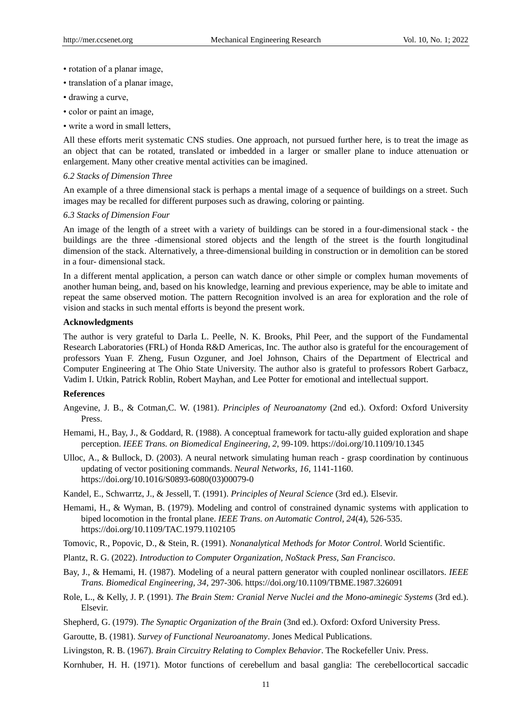- rotation of a planar image,
- translation of a planar image,
- drawing a curve,
- color or paint an image,
- write a word in small letters,

All these efforts merit systematic CNS studies. One approach, not pursued further here, is to treat the image as an object that can be rotated, translated or imbedded in a larger or smaller plane to induce attenuation or enlargement. Many other creative mental activities can be imagined.

### *6.2 Stacks of Dimension Three*

An example of a three dimensional stack is perhaps a mental image of a sequence of buildings on a street. Such images may be recalled for different purposes such as drawing, coloring or painting.

#### *6.3 Stacks of Dimension Four*

An image of the length of a street with a variety of buildings can be stored in a four-dimensional stack - the buildings are the three -dimensional stored objects and the length of the street is the fourth longitudinal dimension of the stack. Alternatively, a three-dimensional building in construction or in demolition can be stored in a four- dimensional stack.

In a different mental application, a person can watch dance or other simple or complex human movements of another human being, and, based on his knowledge, learning and previous experience, may be able to imitate and repeat the same observed motion. The pattern Recognition involved is an area for exploration and the role of vision and stacks in such mental efforts is beyond the present work.

#### **Acknowledgments**

The author is very grateful to Darla L. Peelle, N. K. Brooks, Phil Peer, and the support of the Fundamental Research Laboratories (FRL) of Honda R&D Americas, Inc. The author also is grateful for the encouragement of professors Yuan F. Zheng, Fusun Ozguner, and Joel Johnson, Chairs of the Department of Electrical and Computer Engineering at The Ohio State University. The author also is grateful to professors Robert Garbacz, Vadim I. Utkin, Patrick Roblin, Robert Mayhan, and Lee Potter for emotional and intellectual support.

#### **References**

- Angevine, J. B., & Cotman,C. W. (1981). *Principles of Neuroanatomy* (2nd ed.). Oxford: Oxford University Press.
- Hemami, H., Bay, J., & Goddard, R. (1988). A conceptual framework for tactu-ally guided exploration and shape perception. *IEEE Trans. on Biomedical Engineering, 2*, 99-109. https://doi.org/10.1109/10.1345
- Ulloc, A., & Bullock, D. (2003). A neural network simulating human reach grasp coordination by continuous updating of vector positioning commands. *Neural Networks, 16*, 1141-1160. https://doi.org/10.1016/S0893-6080(03)00079-0
- Kandel, E., Schwarrtz, J., & Jessell, T. (1991). *Principles of Neural Science* (3rd ed.). Elsevir.
- Hemami, H., & Wyman, B. (1979). Modeling and control of constrained dynamic systems with application to biped locomotion in the frontal plane. *IEEE Trans. on Automatic Control, 24*(4), 526-535. https://doi.org/10.1109/TAC.1979.1102105
- Tomovic, R., Popovic, D., & Stein, R. (1991). *Nonanalytical Methods for Motor Control*. World Scientific.
- Plantz, R. G. (2022). *Introduction to Computer Organization, NoStack Press, San Francisco*.
- Bay, J., & Hemami, H. (1987). Modeling of a neural pattern generator with coupled nonlinear oscillators. *IEEE Trans. Biomedical Engineering, 34*, 297-306. https://doi.org/10.1109/TBME.1987.326091
- Role, L., & Kelly, J. P. (1991). *The Brain Stem: Cranial Nerve Nuclei and the Mono-aminegic Systems* (3rd ed.). Elsevir.
- Shepherd, G. (1979). *The Synaptic Organization of the Brain* (3nd ed.). Oxford: Oxford University Press.
- Garoutte, B. (1981). *Survey of Functional Neuroanatomy*. Jones Medical Publications.
- Livingston, R. B. (1967). *Brain Circuitry Relating to Complex Behavior*. The Rockefeller Univ. Press.
- Kornhuber, H. H. (1971). Motor functions of cerebellum and basal ganglia: The cerebellocortical saccadic